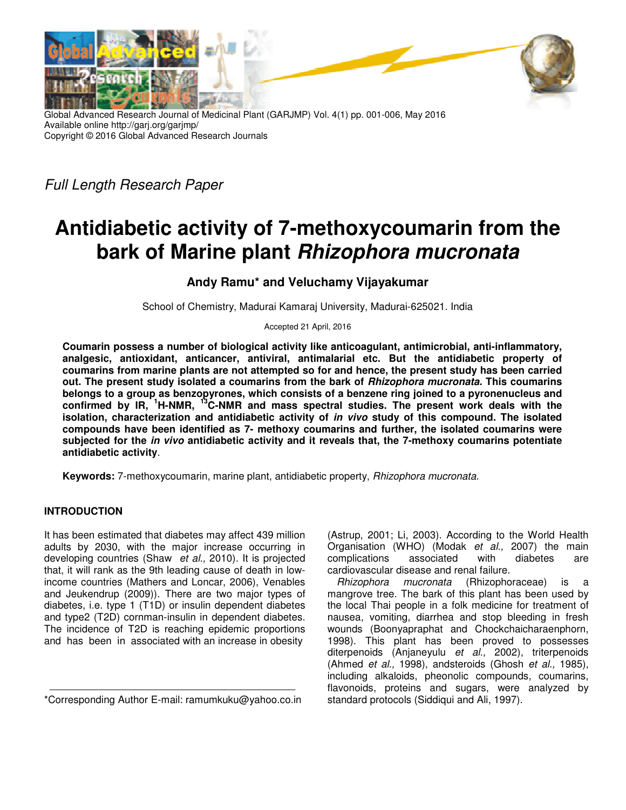

Global Advanced Research Journal of Medicinal Plant (GARJMP) Vol. 4(1) pp. 001-006, May 2016 Available online http://garj.org/garjmp/ Copyright © 2016 Global Advanced Research Journals

*Full Length Research Paper* 

# **Antidiabetic activity of 7-methoxycoumarin from the bark of Marine plant Rhizophora mucronata**

## **Andy Ramu\* and Veluchamy Vijayakumar**

School of Chemistry, Madurai Kamaraj University, Madurai-625021. India

Accepted 21 April, 2016

**Coumarin possess a number of biological activity like anticoagulant, antimicrobial, anti-inflammatory, analgesic, antioxidant, anticancer, antiviral, antimalarial etc. But the antidiabetic property of coumarins from marine plants are not attempted so for and hence, the present study has been carried out. The present study isolated a coumarins from the bark of Rhizophora mucronata. This coumarins belongs to a group as benzopyrones, which consists of a benzene ring joined to a pyronenucleus and confirmed by IR, <sup>1</sup>H-NMR, <sup>13</sup>C-NMR and mass spectral studies. The present work deals with the isolation, characterization and antidiabetic activity of in vivo study of this compound. The isolated compounds have been identified as 7- methoxy coumarins and further, the isolated coumarins were subjected for the in vivo antidiabetic activity and it reveals that, the 7-methoxy coumarins potentiate antidiabetic activity**.

**Keywords:** 7-methoxycoumarin, marine plant, antidiabetic property, *Rhizophora mucronata.*

### **INTRODUCTION**

It has been estimated that diabetes may affect 439 million adults by 2030, with the major increase occurring in developing countries (Shaw *et al.,* 2010). It is projected that, it will rank as the 9th leading cause of death in lowincome countries (Mathers and Loncar, 2006), Venables and Jeukendrup (2009)). There are two major types of diabetes, i.e. type 1 (T1D) or insulin dependent diabetes and type2 (T2D) cornman-insulin in dependent diabetes. The incidence of T2D is reaching epidemic proportions and has been in associated with an increase in obesity

\*Corresponding Author E-mail: ramumkuku@yahoo.co.in

(Astrup, 2001; Li, 2003). According to the World Health Organisation (WHO) (Modak *et al.,* 2007) the main complications associated with diabetes are cardiovascular disease and renal failure.

*Rhizophora mucronata* (Rhizophoraceae) is a mangrove tree. The bark of this plant has been used by the local Thai people in a folk medicine for treatment of nausea, vomiting, diarrhea and stop bleeding in fresh wounds (Boonyapraphat and Chockchaicharaenphorn, 1998). This plant has been proved to possesses diterpenoids (Anjaneyulu *et al.,* 2002), triterpenoids (Ahmed *et al.,* 1998), andsteroids (Ghosh *et al.,* 1985), including alkaloids, pheonolic compounds, coumarins, flavonoids, proteins and sugars, were analyzed by standard protocols (Siddiqui and Ali, 1997).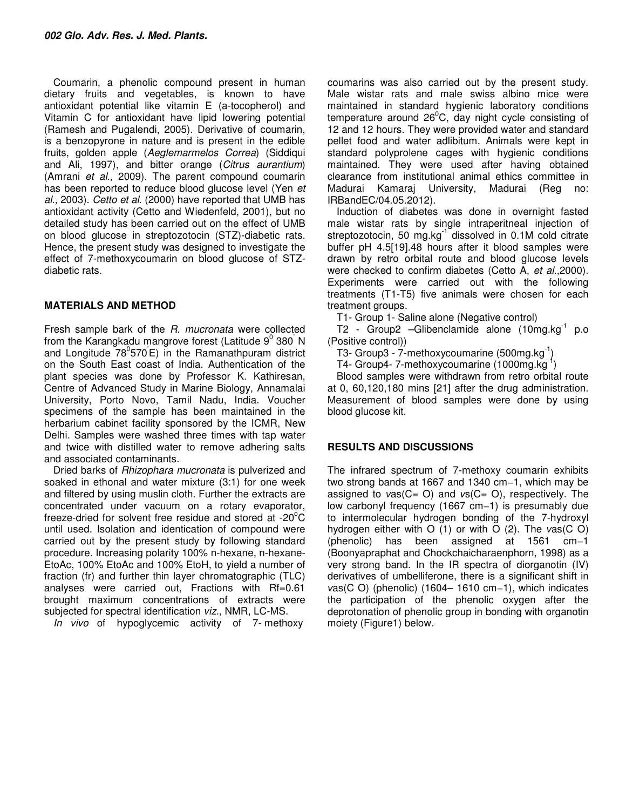Coumarin, a phenolic compound present in human dietary fruits and vegetables, is known to have antioxidant potential like vitamin E (a-tocopherol) and Vitamin C for antioxidant have lipid lowering potential (Ramesh and Pugalendi, 2005). Derivative of coumarin, is a benzopyrone in nature and is present in the edible fruits, golden apple (*Aeglemarmelos Correa*) (Siddiqui and Ali, 1997), and bitter orange (*Citrus aurantium*) (Amrani *et al.,* 2009). The parent compound coumarin has been reported to reduce blood glucose level (Yen *et al.,* 2003). *Cetto et al*. (2000) have reported that UMB has antioxidant activity (Cetto and Wiedenfeld, 2001), but no detailed study has been carried out on the effect of UMB on blood glucose in streptozotocin (STZ)-diabetic rats. Hence, the present study was designed to investigate the effect of 7-methoxycoumarin on blood glucose of STZdiabetic rats.

#### **MATERIALS AND METHOD**

Fresh sample bark of the *R. mucronata* were collected from the Karangkadu mangrove forest (Latitude  $9^0$  380<sup>'</sup> N and Longitude 78°570<sup>'</sup>E) in the Ramanathpuram district on the South East coast of India. Authentication of the plant species was done by Professor K. Kathiresan, Centre of Advanced Study in Marine Biology, Annamalai University, Porto Novo, Tamil Nadu, India. Voucher specimens of the sample has been maintained in the herbarium cabinet facility sponsored by the ICMR, New Delhi. Samples were washed three times with tap water and twice with distilled water to remove adhering salts and associated contaminants.

Dried barks of *Rhizophara mucronata* is pulverized and soaked in ethonal and water mixture (3:1) for one week and filtered by using muslin cloth. Further the extracts are concentrated under vacuum on a rotary evaporator, freeze-dried for solvent free residue and stored at  $-20^{\circ}$ C until used. Isolation and identication of compound were carried out by the present study by following standard procedure. Increasing polarity 100% n-hexane, n-hexane-EtoAc, 100% EtoAc and 100% EtoH, to yield a number of fraction (fr) and further thin layer chromatographic (TLC) analyses were carried out, Fractions with Rf=0.61 brought maximum concentrations of extracts were subjected for spectral identification *viz.*, NMR, LC-MS.

*In vivo* of hypoglycemic activity of 7- methoxy

coumarins was also carried out by the present study. Male wistar rats and male swiss albino mice were maintained in standard hygienic laboratory conditions temperature around  $26^{\circ}$ C, day night cycle consisting of 12 and 12 hours. They were provided water and standard pellet food and water adlibitum. Animals were kept in standard polyprolene cages with hygienic conditions maintained. They were used after having obtained clearance from institutional animal ethics committee in Madurai Kamaraj University, Madurai (Reg no: IRBandEC/04.05.2012).

Induction of diabetes was done in overnight fasted male wistar rats by single intraperitneal injection of streptozotocin, 50 mg.kg $^{-1}$  dissolved in 0.1M cold citrate buffer pH 4.5[19].48 hours after it blood samples were drawn by retro orbital route and blood glucose levels were checked to confirm diabetes (Cetto A, *et al.,*2000). Experiments were carried out with the following treatments (T1-T5) five animals were chosen for each treatment groups.

T1- Group 1- Saline alone (Negative control)

T2 - Group2 - Glibenclamide alone (10mg.kg<sup>-1</sup> p.o (Positive control))

T3- Group3 - 7-methoxycoumarine (500mg.kg<sup>-1</sup>)

T4- Group4- 7-methoxycoumarine (1000mg.kg

Blood samples were withdrawn from retro orbital route at 0, 60,120,180 mins [21] after the drug administration. Measurement of blood samples were done by using blood glucose kit.

#### **RESULTS AND DISCUSSIONS**

The infrared spectrum of 7-methoxy coumarin exhibits two strong bands at 1667 and 1340 cm−1, which may be assigned to *ν*as(C= O) and *ν*s(C= O), respectively. The low carbonyl frequency (1667 cm−1) is presumably due to intermolecular hydrogen bonding of the 7-hydroxyl hydrogen either with O (1) or with O (2). The *ν*as(C O) (phenolic) has been assigned at 1561 cm−1 (Boonyapraphat and Chockchaicharaenphorn, 1998) as a very strong band. In the IR spectra of diorganotin (IV) derivatives of umbelliferone, there is a significant shift in *vas*(C O) (phenolic) (1604– 1610 cm−1), which indicates the participation of the phenolic oxygen after the deprotonation of phenolic group in bonding with organotin moiety (Figure1) below.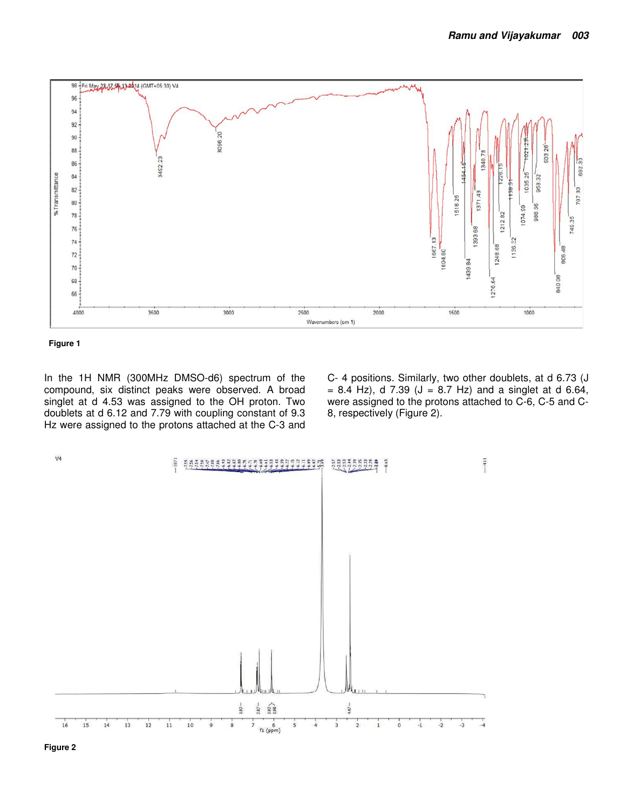



In the 1H NMR (300MHz DMSO-d6) spectrum of the compound, six distinct peaks were observed. A broad singlet at d 4.53 was assigned to the OH proton. Two doublets at d 6.12 and 7.79 with coupling constant of 9.3 Hz were assigned to the protons attached at the C-3 and C- 4 positions. Similarly, two other doublets, at d 6.73 (J  $= 8.4$  Hz), d 7.39 (J = 8.7 Hz) and a singlet at d 6.64, were assigned to the protons attached to C-6, C-5 and C-8, respectively (Figure 2).

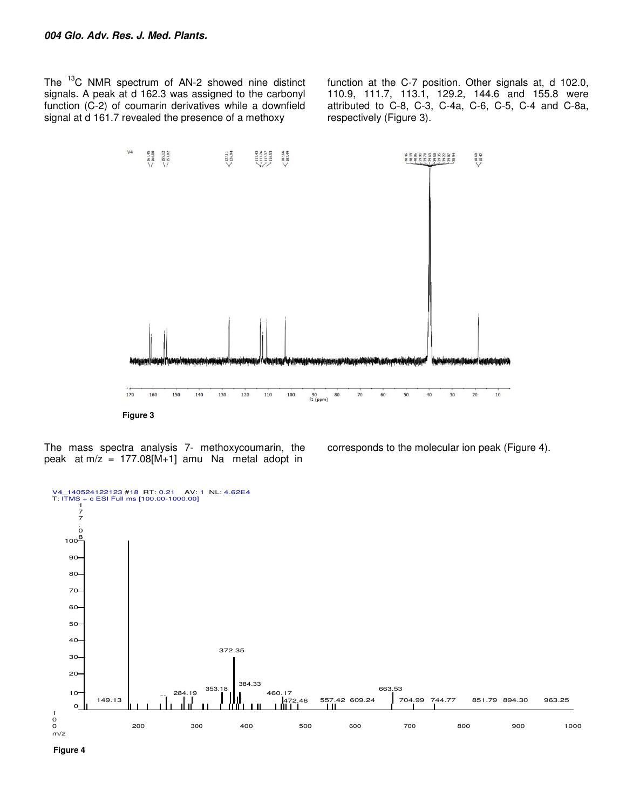The <sup>13</sup>C NMR spectrum of AN-2 showed nine distinct signals. A peak at d 162.3 was assigned to the carbonyl function (C-2) of coumarin derivatives while a downfield signal at d 161.7 revealed the presence of a methoxy

function at the C-7 position. Other signals at, d 102.0, 110.9, 111.7, 113.1, 129.2, 144.6 and 155.8 were attributed to C-8, C-3, C-4a, C-6, C-5, C-4 and C-8a, respectively (Figure 3).



The mass spectra analysis 7- methoxycoumarin, the peak at  $m/z = 177.08[M+1]$  amu Na metal adopt in

corresponds to the molecular ion peak (Figure 4).



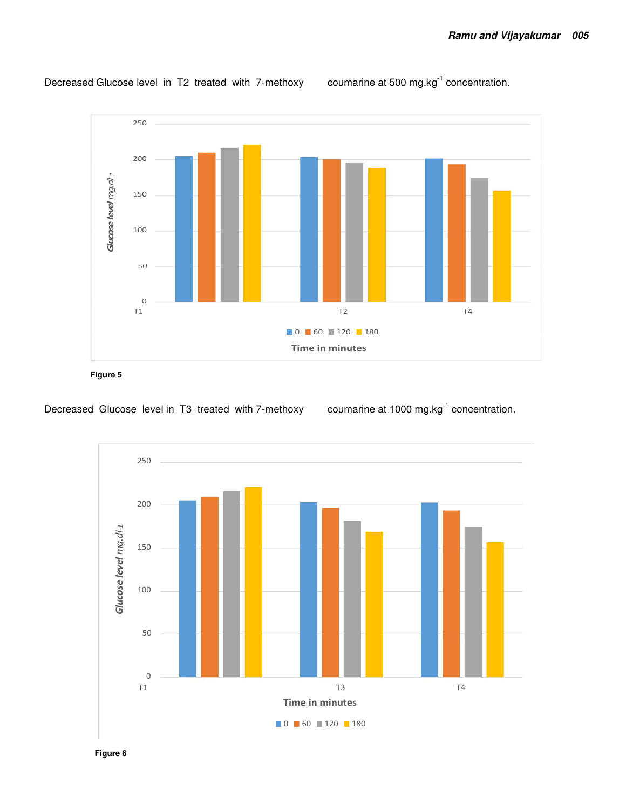

Decreased Glucose level in T2 treated with 7-methoxy coumarine at 500 mg.kg<sup>-1</sup> concentration.

**Figure 5** 

Decreased Glucose level in T3 treated with 7-methoxy coumarine at 1000 mg.kg<sup>-1</sup> concentration.



**Figure 6**